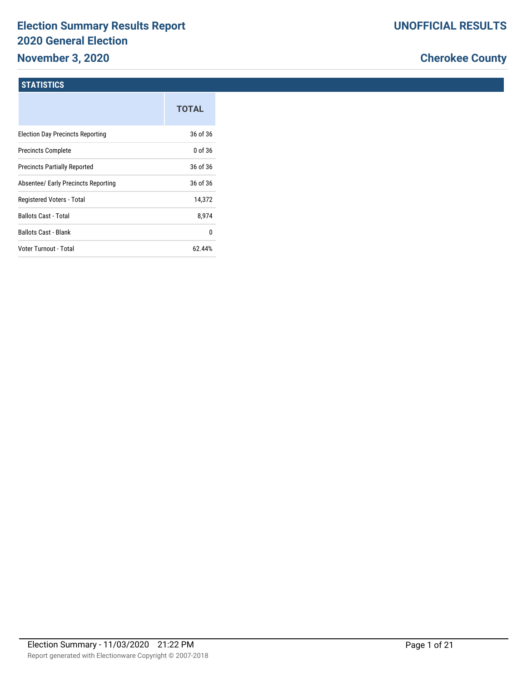# **Election Summary Results Report 2020 General Election**

## **November 3, 2020**

### **Cherokee County**

#### **STATISTICS**

|                                         | <b>TOTAL</b> |
|-----------------------------------------|--------------|
| <b>Election Day Precincts Reporting</b> | 36 of 36     |
| <b>Precincts Complete</b>               | $0$ of 36    |
| <b>Precincts Partially Reported</b>     | 36 of 36     |
| Absentee/ Early Precincts Reporting     | 36 of 36     |
| Registered Voters - Total               | 14,372       |
| <b>Ballots Cast - Total</b>             | 8,974        |
| <b>Ballots Cast - Blank</b>             | 0            |
| Voter Turnout - Total                   | 62.44%       |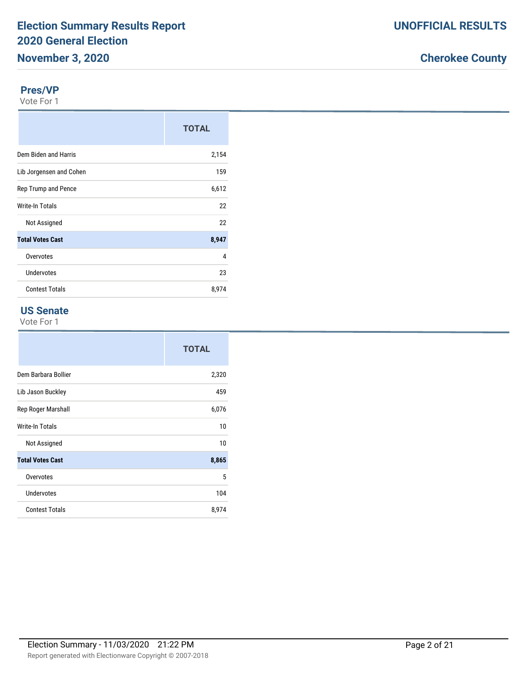#### **Pres/VP**

Vote For 1

|                         | <b>TOTAL</b> |
|-------------------------|--------------|
| Dem Biden and Harris    | 2,154        |
| Lib Jorgensen and Cohen | 159          |
| Rep Trump and Pence     | 6,612        |
| Write-In Totals         | 22           |
| Not Assigned            | 22           |
| <b>Total Votes Cast</b> | 8,947        |
| Overvotes               | 4            |
| Undervotes              | 23           |
| <b>Contest Totals</b>   | 8,974        |

#### **US Senate**

|                         | <b>TOTAL</b> |
|-------------------------|--------------|
| Dem Barbara Bollier     | 2,320        |
| Lib Jason Buckley       | 459          |
| Rep Roger Marshall      | 6,076        |
| <b>Write-In Totals</b>  | 10           |
| Not Assigned            | 10           |
| <b>Total Votes Cast</b> | 8,865        |
| Overvotes               | 5            |
| Undervotes              | 104          |
| <b>Contest Totals</b>   | 8,974        |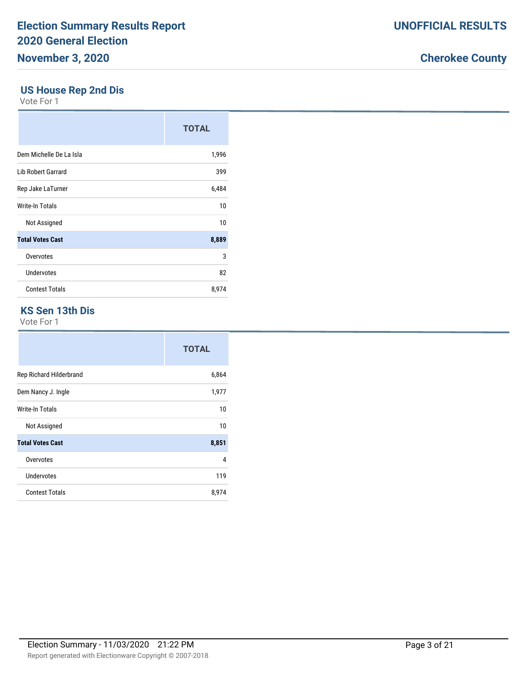#### **US House Rep 2nd Dis**

Vote For 1

|                           | <b>TOTAL</b> |
|---------------------------|--------------|
| Dem Michelle De La Isla   | 1,996        |
| <b>Lib Robert Garrard</b> | 399          |
| Rep Jake LaTurner         | 6,484        |
| Write-In Totals           | 10           |
| Not Assigned              | 10           |
| <b>Total Votes Cast</b>   | 8,889        |
| Overvotes                 | 3            |
| Undervotes                | 82           |
| <b>Contest Totals</b>     | 8,974        |

#### **KS Sen 13th Dis**

|                         | <b>TOTAL</b> |
|-------------------------|--------------|
| Rep Richard Hilderbrand | 6,864        |
| Dem Nancy J. Ingle      | 1,977        |
| Write-In Totals         | 10           |
| Not Assigned            | 10           |
| <b>Total Votes Cast</b> | 8,851        |
| Overvotes               | 4            |
| Undervotes              | 119          |
| <b>Contest Totals</b>   | 8,974        |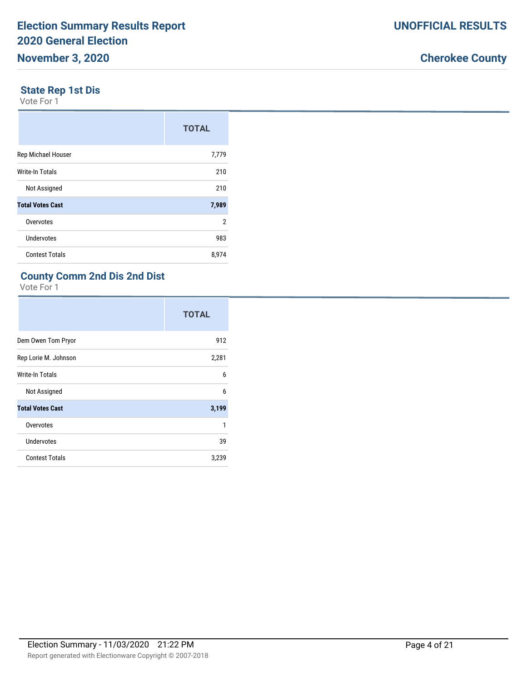#### **State Rep 1st Dis**

Vote For 1

|                           | <b>TOTAL</b> |
|---------------------------|--------------|
| <b>Rep Michael Houser</b> | 7,779        |
| <b>Write-In Totals</b>    | 210          |
| Not Assigned              | 210          |
| <b>Total Votes Cast</b>   | 7,989        |
| Overvotes                 | 2            |
| Undervotes                | 983          |
| <b>Contest Totals</b>     | 8,974        |

### **County Comm 2nd Dis 2nd Dist**

|                         | <b>TOTAL</b> |
|-------------------------|--------------|
| Dem Owen Tom Pryor      | 912          |
| Rep Lorie M. Johnson    | 2,281        |
| Write-In Totals         | 6            |
| Not Assigned            | 6            |
| <b>Total Votes Cast</b> | 3,199        |
| Overvotes               | 1            |
| <b>Undervotes</b>       | 39           |
| <b>Contest Totals</b>   | 3,239        |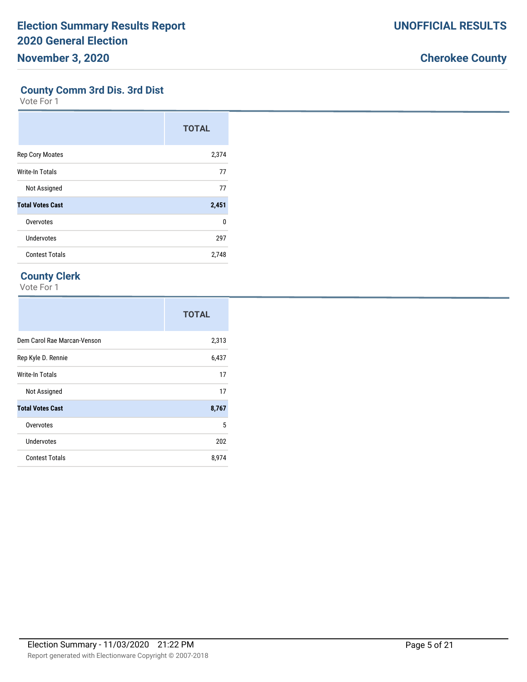#### **County Comm 3rd Dis. 3rd Dist**

Vote For 1

|                         | <b>TOTAL</b> |
|-------------------------|--------------|
| <b>Rep Cory Moates</b>  | 2,374        |
| Write-In Totals         | 77           |
| Not Assigned            | 77           |
| <b>Total Votes Cast</b> | 2,451        |
| Overvotes               | $\Omega$     |
| Undervotes              | 297          |
| <b>Contest Totals</b>   | 2,748        |

#### **County Clerk**

|                             | <b>TOTAL</b> |
|-----------------------------|--------------|
| Dem Carol Rae Marcan-Venson | 2,313        |
| Rep Kyle D. Rennie          | 6,437        |
| Write-In Totals             | 17           |
| Not Assigned                | 17           |
| <b>Total Votes Cast</b>     | 8,767        |
| Overvotes                   | 5            |
| Undervotes                  | 202          |
| <b>Contest Totals</b>       | 8,974        |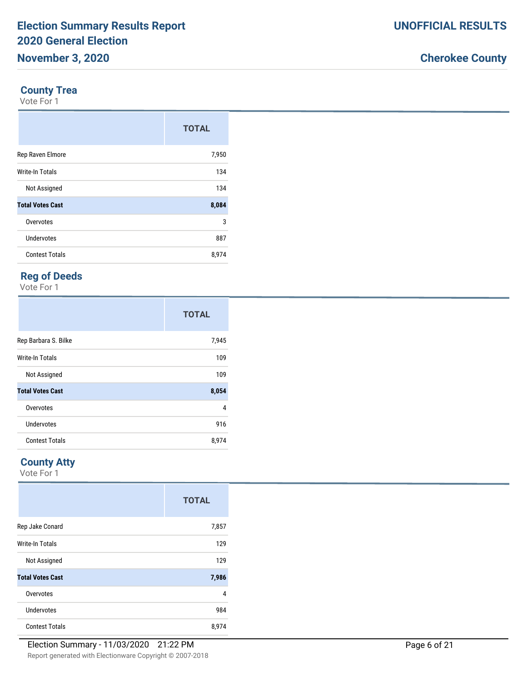#### **County Trea**

Vote For 1

|                         | <b>TOTAL</b> |
|-------------------------|--------------|
| Rep Raven Elmore        | 7,950        |
| <b>Write-In Totals</b>  | 134          |
| Not Assigned            | 134          |
| <b>Total Votes Cast</b> | 8,084        |
| Overvotes               | 3            |
| Undervotes              | 887          |
| <b>Contest Totals</b>   | 8,974        |

#### **Reg of Deeds**

Vote For 1

|                         | <b>TOTAL</b> |
|-------------------------|--------------|
| Rep Barbara S. Bilke    | 7,945        |
| <b>Write-In Totals</b>  | 109          |
| Not Assigned            | 109          |
| <b>Total Votes Cast</b> | 8,054        |
| Overvotes               | 4            |
| Undervotes              | 916          |
| <b>Contest Totals</b>   | 8,974        |

#### **County Atty**

|                         | <b>TOTAL</b> |
|-------------------------|--------------|
| Rep Jake Conard         | 7,857        |
| Write-In Totals         | 129          |
| Not Assigned            | 129          |
| <b>Total Votes Cast</b> | 7,986        |
| Overvotes               | 4            |
| Undervotes              | 984          |
| <b>Contest Totals</b>   | 8,974        |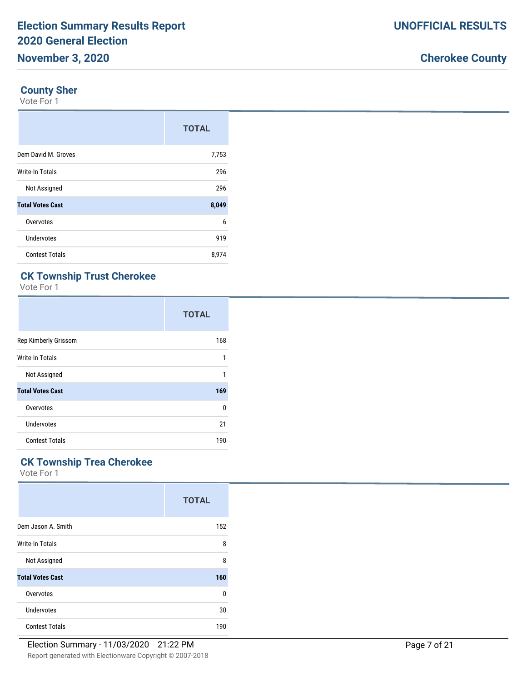#### **County Sher**

Vote For 1

|                         | <b>TOTAL</b> |
|-------------------------|--------------|
| Dem David M. Groves     | 7,753        |
| <b>Write-In Totals</b>  | 296          |
| Not Assigned            | 296          |
| <b>Total Votes Cast</b> | 8,049        |
| Overvotes               | 6            |
| Undervotes              | 919          |
| <b>Contest Totals</b>   | 8,974        |

### **CK Township Trust Cherokee**

Vote For 1

|                         | <b>TOTAL</b> |
|-------------------------|--------------|
| Rep Kimberly Grissom    | 168          |
| Write-In Totals         | 1            |
| Not Assigned            | 1            |
| <b>Total Votes Cast</b> | 169          |
| Overvotes               | 0            |
| Undervotes              | 21           |
| <b>Contest Totals</b>   | 190          |

### **CK Township Trea Cherokee**

|                         | <b>TOTAL</b> |
|-------------------------|--------------|
| Dem Jason A. Smith      | 152          |
| Write-In Totals         | 8            |
| Not Assigned            | 8            |
| <b>Total Votes Cast</b> | 160          |
| Overvotes               | 0            |
| Undervotes              | 30           |
| <b>Contest Totals</b>   | 190          |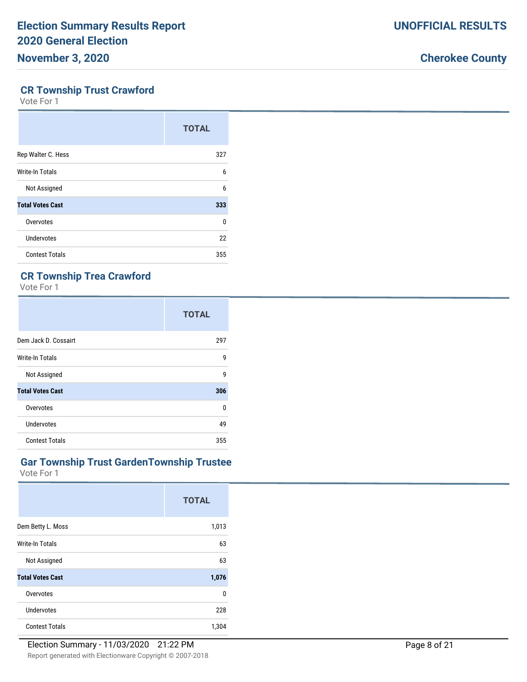#### **CR Township Trust Crawford**

Vote For 1

|                         | <b>TOTAL</b> |
|-------------------------|--------------|
| Rep Walter C. Hess      | 327          |
| Write-In Totals         | 6            |
| Not Assigned            | 6            |
| <b>Total Votes Cast</b> | 333          |
| Overvotes               | $\Omega$     |
| Undervotes              | 22           |
| <b>Contest Totals</b>   | 355          |

### **CR Township Trea Crawford**

Vote For 1

|                         | <b>TOTAL</b> |
|-------------------------|--------------|
| Dem Jack D. Cossairt    | 297          |
| Write-In Totals         | 9            |
| Not Assigned            | g            |
| <b>Total Votes Cast</b> | 306          |
| Overvotes               | <sup>0</sup> |
| Undervotes              | 49           |
| <b>Contest Totals</b>   | 355          |

#### **Gar Township Trust GardenTownship Trustee**

|                         | <b>TOTAL</b> |
|-------------------------|--------------|
| Dem Betty L. Moss       | 1,013        |
| Write-In Totals         | 63           |
| Not Assigned            | 63           |
| <b>Total Votes Cast</b> | 1,076        |
| Overvotes               | $\mathbf 0$  |
| Undervotes              | 228          |
| <b>Contest Totals</b>   | 1,304        |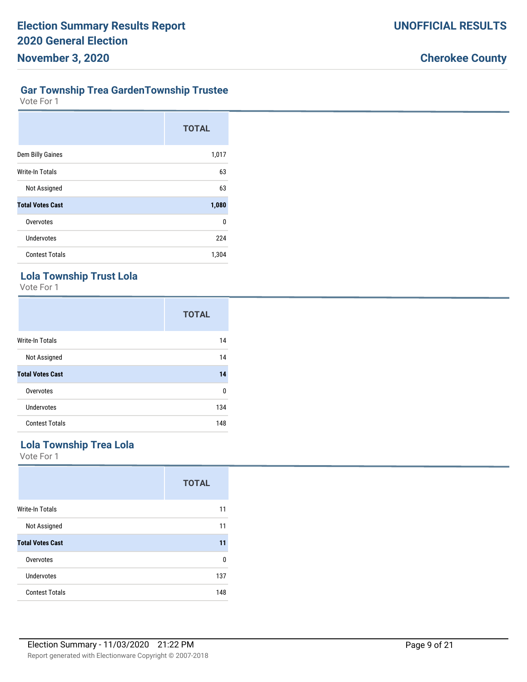# **Gar Township Trea GardenTownship Trustee**

Vote For 1

|                         | <b>TOTAL</b> |
|-------------------------|--------------|
| Dem Billy Gaines        | 1,017        |
| Write-In Totals         | 63           |
| Not Assigned            | 63           |
| <b>Total Votes Cast</b> | 1,080        |
| Overvotes               | 0            |
| Undervotes              | 224          |
| <b>Contest Totals</b>   | 1,304        |

### **Lola Township Trust Lola**

Vote For 1

|                         | <b>TOTAL</b> |
|-------------------------|--------------|
| <b>Write-In Totals</b>  | 14           |
| Not Assigned            | 14           |
| <b>Total Votes Cast</b> | 14           |
| Overvotes               | 0            |
| Undervotes              | 134          |
| <b>Contest Totals</b>   | 148          |

#### **Lola Township Trea Lola**

|                         | <b>TOTAL</b> |
|-------------------------|--------------|
| <b>Write-In Totals</b>  | 11           |
| Not Assigned            | 11           |
| <b>Total Votes Cast</b> | 11           |
| Overvotes               | $\Omega$     |
| Undervotes              | 137          |
| <b>Contest Totals</b>   | 148          |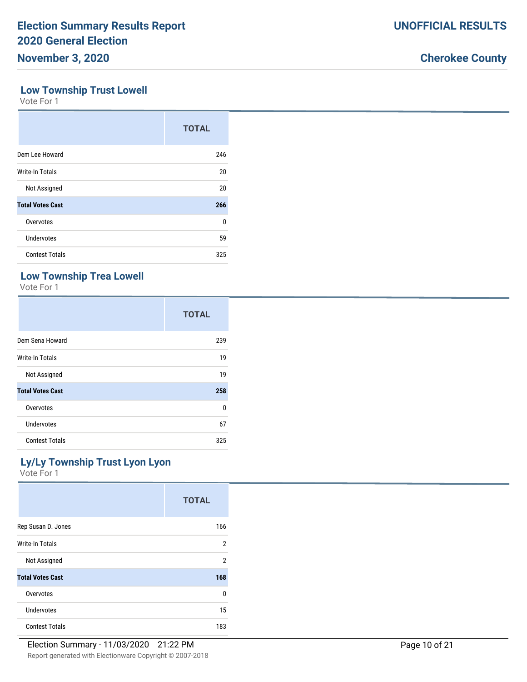#### **Low Township Trust Lowell**

Vote For 1

|                         | <b>TOTAL</b> |
|-------------------------|--------------|
| Dem Lee Howard          | 246          |
| Write-In Totals         | 20           |
| Not Assigned            | 20           |
| <b>Total Votes Cast</b> | 266          |
| Overvotes               | $\Omega$     |
| <b>Undervotes</b>       | 59           |
| <b>Contest Totals</b>   | 325          |

### **Low Township Trea Lowell**

Vote For 1

|                         | <b>TOTAL</b> |
|-------------------------|--------------|
| Dem Sena Howard         | 239          |
| Write-In Totals         | 19           |
| Not Assigned            | 19           |
| <b>Total Votes Cast</b> | 258          |
| Overvotes               | $\Omega$     |
| Undervotes              | 67           |
| <b>Contest Totals</b>   | 325          |

### **Ly/Ly Township Trust Lyon Lyon**

|                         | <b>TOTAL</b> |
|-------------------------|--------------|
| Rep Susan D. Jones      | 166          |
| <b>Write-In Totals</b>  | 2            |
| Not Assigned            | 2            |
| <b>Total Votes Cast</b> | 168          |
| Overvotes               | $\Omega$     |
| Undervotes              | 15           |
| <b>Contest Totals</b>   | 183          |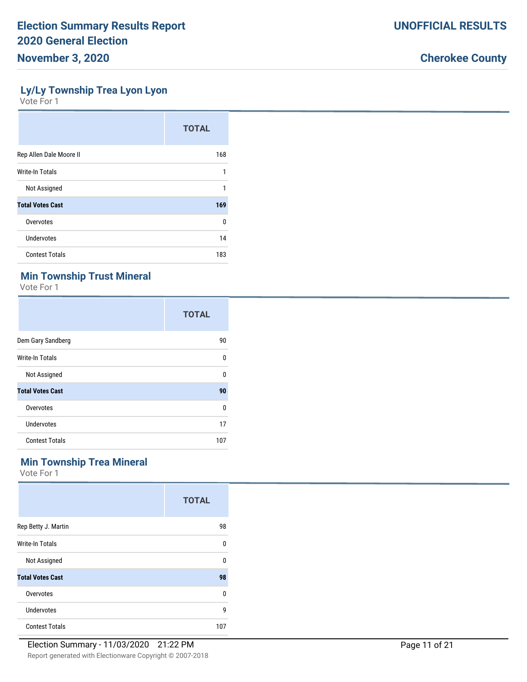#### **Ly/Ly Township Trea Lyon Lyon**

Vote For 1

|                         | <b>TOTAL</b> |
|-------------------------|--------------|
| Rep Allen Dale Moore II | 168          |
| Write-In Totals         | 1            |
| Not Assigned            | 1            |
| <b>Total Votes Cast</b> | 169          |
| Overvotes               | 0            |
| Undervotes              | 14           |
| <b>Contest Totals</b>   | 183          |

### **Min Township Trust Mineral**

Vote For 1

|                         | <b>TOTAL</b> |
|-------------------------|--------------|
| Dem Gary Sandberg       | 90           |
| Write-In Totals         | 0            |
| Not Assigned            | $\Omega$     |
| <b>Total Votes Cast</b> | 90           |
| Overvotes               | 0            |
| Undervotes              | 17           |
| <b>Contest Totals</b>   | 107          |

### **Min Township Trea Mineral**

|                         | <b>TOTAL</b> |
|-------------------------|--------------|
| Rep Betty J. Martin     | 98           |
| <b>Write-In Totals</b>  | 0            |
| Not Assigned            | 0            |
| <b>Total Votes Cast</b> | 98           |
| Overvotes               | 0            |
| Undervotes              | 9            |
| <b>Contest Totals</b>   | 107          |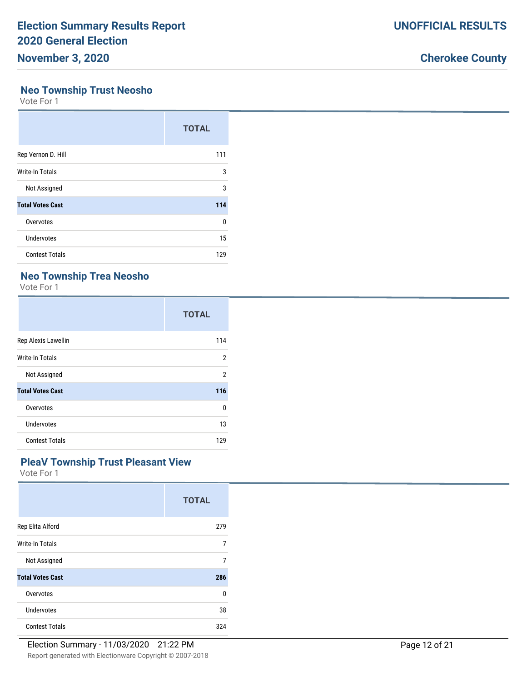#### **Neo Township Trust Neosho**

Vote For 1

|                         | <b>TOTAL</b> |
|-------------------------|--------------|
| Rep Vernon D. Hill      | 111          |
| <b>Write-In Totals</b>  | 3            |
| Not Assigned            | 3            |
| <b>Total Votes Cast</b> | 114          |
| Overvotes               | 0            |
| Undervotes              | 15           |
| <b>Contest Totals</b>   | 129          |

### **Neo Township Trea Neosho**

Vote For 1

|                         | <b>TOTAL</b>   |
|-------------------------|----------------|
| Rep Alexis Lawellin     | 114            |
| Write-In Totals         | $\overline{2}$ |
| Not Assigned            | $\overline{2}$ |
| <b>Total Votes Cast</b> | 116            |
| Overvotes               | 0              |
| Undervotes              | 13             |
| <b>Contest Totals</b>   | 129            |

#### **PleaV Township Trust Pleasant View**

|                         | <b>TOTAL</b> |
|-------------------------|--------------|
| Rep Elita Alford        | 279          |
| Write-In Totals         | 7            |
| Not Assigned            | 7            |
| <b>Total Votes Cast</b> | 286          |
| Overvotes               | 0            |
| Undervotes              | 38           |
| <b>Contest Totals</b>   | 324          |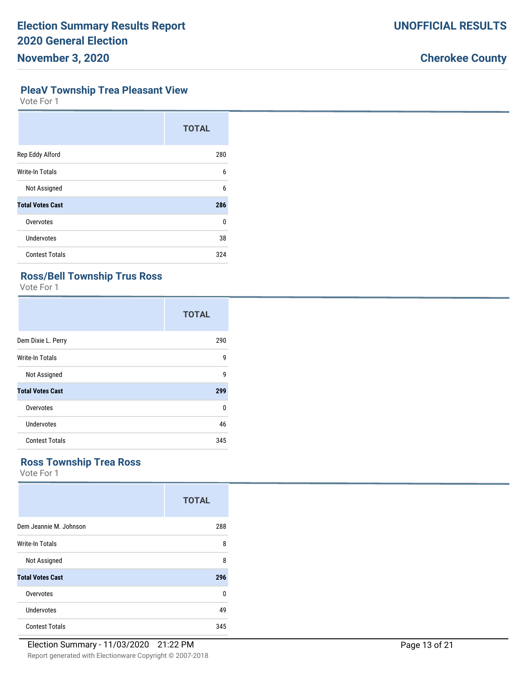### **PleaV Township Trea Pleasant View**

Vote For 1

|                         | <b>TOTAL</b> |
|-------------------------|--------------|
| Rep Eddy Alford         | 280          |
| <b>Write-In Totals</b>  | 6            |
| Not Assigned            | 6            |
| <b>Total Votes Cast</b> | 286          |
| Overvotes               | 0            |
| <b>Undervotes</b>       | 38           |
| <b>Contest Totals</b>   | 324          |

#### **Ross/Bell Township Trus Ross**

Vote For 1

|                         | <b>TOTAL</b> |
|-------------------------|--------------|
| Dem Dixie L. Perry      | 290          |
| Write-In Totals         | 9            |
| Not Assigned            | 9            |
| <b>Total Votes Cast</b> | 299          |
| Overvotes               | U            |
| Undervotes              | 46           |
| <b>Contest Totals</b>   | 345          |

### **Ross Township Trea Ross**

|                         | <b>TOTAL</b> |
|-------------------------|--------------|
| Dem Jeannie M. Johnson  | 288          |
| Write-In Totals         | 8            |
| Not Assigned            | 8            |
| <b>Total Votes Cast</b> | 296          |
| Overvotes               | 0            |
| Undervotes              | 49           |
| <b>Contest Totals</b>   | 345          |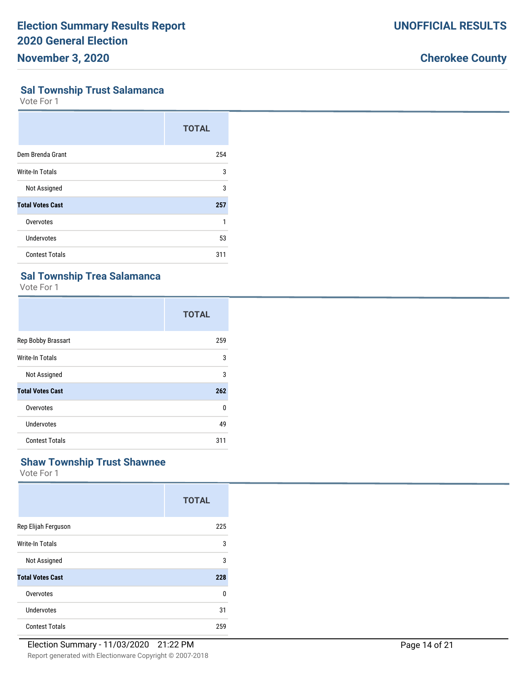### **Sal Township Trust Salamanca**

Vote For 1

|                         | <b>TOTAL</b> |
|-------------------------|--------------|
| Dem Brenda Grant        | 254          |
| Write-In Totals         | 3            |
| Not Assigned            | 3            |
| <b>Total Votes Cast</b> | 257          |
| Overvotes               | 1            |
| <b>Undervotes</b>       | 53           |
| <b>Contest Totals</b>   | 311          |

### **Sal Township Trea Salamanca**

Vote For 1

|                         | <b>TOTAL</b> |
|-------------------------|--------------|
| Rep Bobby Brassart      | 259          |
| Write-In Totals         | 3            |
| Not Assigned            | 3            |
| <b>Total Votes Cast</b> | 262          |
| Overvotes               | $\Omega$     |
| <b>Undervotes</b>       | 49           |
| <b>Contest Totals</b>   | 311          |

#### **Shaw Township Trust Shawnee**

|                         | <b>TOTAL</b> |
|-------------------------|--------------|
| Rep Elijah Ferguson     | 225          |
| Write-In Totals         | 3            |
| Not Assigned            | 3            |
| <b>Total Votes Cast</b> | 228          |
| Overvotes               | $\Omega$     |
| Undervotes              | 31           |
| <b>Contest Totals</b>   | 259          |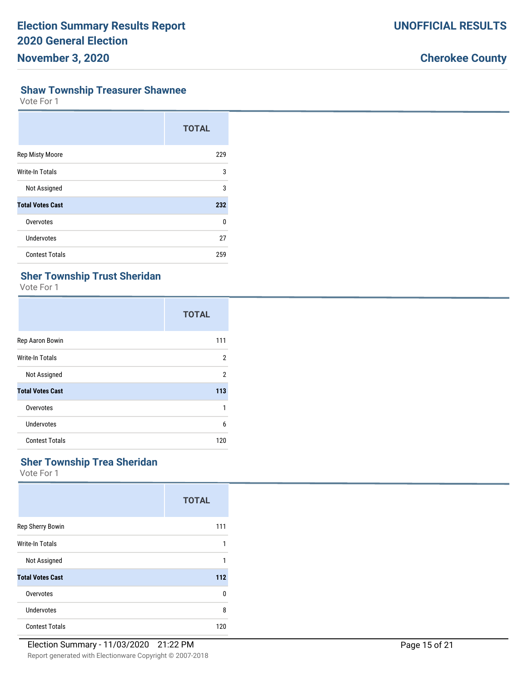### **Shaw Township Treasurer Shawnee**

Vote For 1

|                         | <b>TOTAL</b> |
|-------------------------|--------------|
| <b>Rep Misty Moore</b>  | 229          |
| Write-In Totals         | 3            |
| Not Assigned            | 3            |
| <b>Total Votes Cast</b> | 232          |
| Overvotes               | U            |
| Undervotes              | 27           |
| <b>Contest Totals</b>   | 259          |

### **Sher Township Trust Sheridan**

Vote For 1

|                         | <b>TOTAL</b>   |
|-------------------------|----------------|
| Rep Aaron Bowin         | 111            |
| Write-In Totals         | 2              |
| Not Assigned            | $\overline{2}$ |
| <b>Total Votes Cast</b> | 113            |
| Overvotes               | 1              |
| Undervotes              | 6              |
| <b>Contest Totals</b>   | 120            |

#### **Sher Township Trea Sheridan**

|                         | <b>TOTAL</b> |
|-------------------------|--------------|
| Rep Sherry Bowin        | 111          |
| Write-In Totals         | 1            |
| Not Assigned            | 1            |
| <b>Total Votes Cast</b> | 112          |
| Overvotes               | 0            |
| Undervotes              | 8            |
| <b>Contest Totals</b>   | 120          |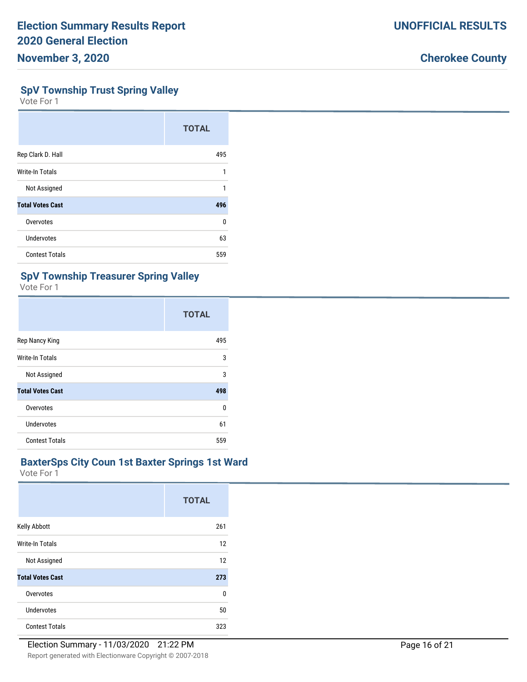#### **SpV Township Trust Spring Valley**

Vote For 1

|                         | <b>TOTAL</b> |
|-------------------------|--------------|
| Rep Clark D. Hall       | 495          |
| Write-In Totals         | 1            |
| Not Assigned            | 1            |
| <b>Total Votes Cast</b> | 496          |
| Overvotes               | 0            |
| <b>Undervotes</b>       | 63           |
| <b>Contest Totals</b>   | 559          |

#### **SpV Township Treasurer Spring Valley**

Vote For 1

|                         | <b>TOTAL</b> |
|-------------------------|--------------|
| Rep Nancy King          | 495          |
| Write-In Totals         | 3            |
| Not Assigned            | 3            |
| <b>Total Votes Cast</b> | 498          |
| Overvotes               | 0            |
| Undervotes              | 61           |
| <b>Contest Totals</b>   | 559          |

#### **BaxterSps City Coun 1st Baxter Springs 1st Ward**

|                         | <b>TOTAL</b> |
|-------------------------|--------------|
| Kelly Abbott            | 261          |
| Write-In Totals         | 12           |
| Not Assigned            | 12           |
| <b>Total Votes Cast</b> | 273          |
| Overvotes               | 0            |
| Undervotes              | $50\,$       |
| <b>Contest Totals</b>   | 323          |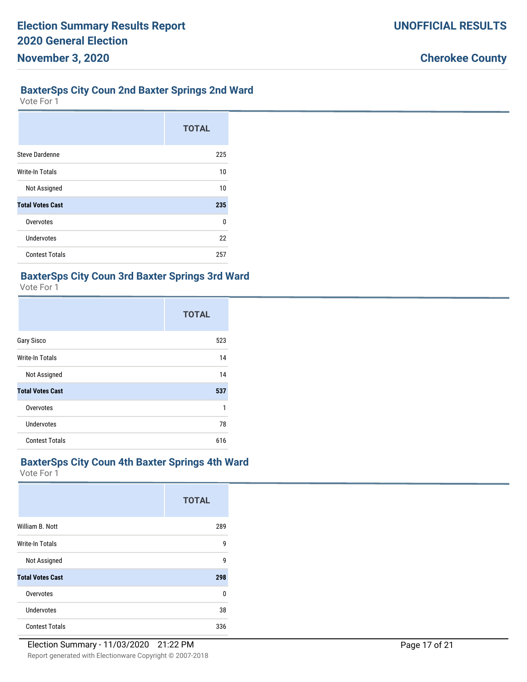#### **BaxterSps City Coun 2nd Baxter Springs 2nd Ward**

Vote For 1

|                         | <b>TOTAL</b> |
|-------------------------|--------------|
| <b>Steve Dardenne</b>   | 225          |
| <b>Write-In Totals</b>  | 10           |
| Not Assigned            | 10           |
| <b>Total Votes Cast</b> | 235          |
| Overvotes               | U            |
| Undervotes              | 22           |
| <b>Contest Totals</b>   | 257          |

#### **BaxterSps City Coun 3rd Baxter Springs 3rd Ward**

Vote For 1

|                         | <b>TOTAL</b> |
|-------------------------|--------------|
| Gary Sisco              | 523          |
| Write-In Totals         | 14           |
| Not Assigned            | 14           |
| <b>Total Votes Cast</b> | 537          |
| Overvotes               | 1            |
| <b>Undervotes</b>       | 78           |
| <b>Contest Totals</b>   | 616          |

#### **BaxterSps City Coun 4th Baxter Springs 4th Ward**

|                         | <b>TOTAL</b> |
|-------------------------|--------------|
| William B. Nott         | 289          |
| Write-In Totals         | 9            |
| Not Assigned            | 9            |
| <b>Total Votes Cast</b> | 298          |
| Overvotes               | 0            |
| Undervotes              | 38           |
| <b>Contest Totals</b>   | 336          |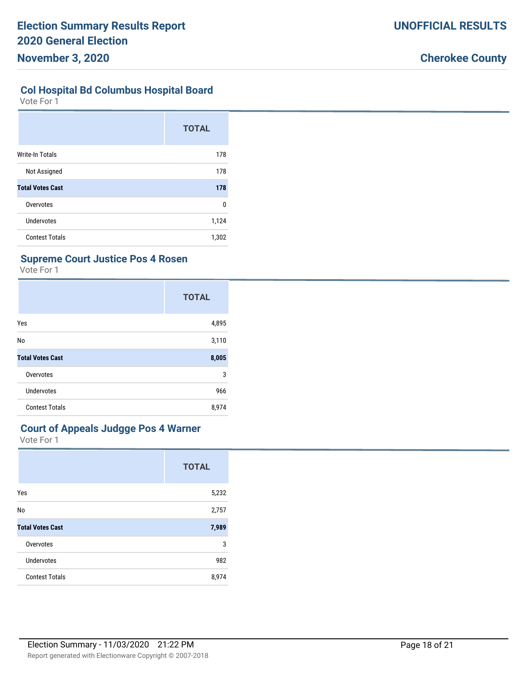#### **Col Hospital Bd Columbus Hospital Board**

Vote For 1

|                         | <b>TOTAL</b> |
|-------------------------|--------------|
| <b>Write-In Totals</b>  | 178          |
| Not Assigned            | 178          |
| <b>Total Votes Cast</b> | 178          |
| Overvotes               | 0            |
| Undervotes              | 1,124        |
| <b>Contest Totals</b>   | 1,302        |

#### **Supreme Court Justice Pos 4 Rosen**

Vote For 1

|                         | <b>TOTAL</b> |
|-------------------------|--------------|
| Yes                     | 4,895        |
| No                      | 3,110        |
| <b>Total Votes Cast</b> | 8,005        |
| Overvotes               | 3            |
| Undervotes              | 966          |
| <b>Contest Totals</b>   | 8,974        |

#### **Court of Appeals Judgge Pos 4 Warner**

|                         | <b>TOTAL</b> |
|-------------------------|--------------|
| Yes                     | 5,232        |
| No                      | 2,757        |
| <b>Total Votes Cast</b> | 7,989        |
| Overvotes               | 3            |
| Undervotes              | 982          |
| <b>Contest Totals</b>   | 8,974        |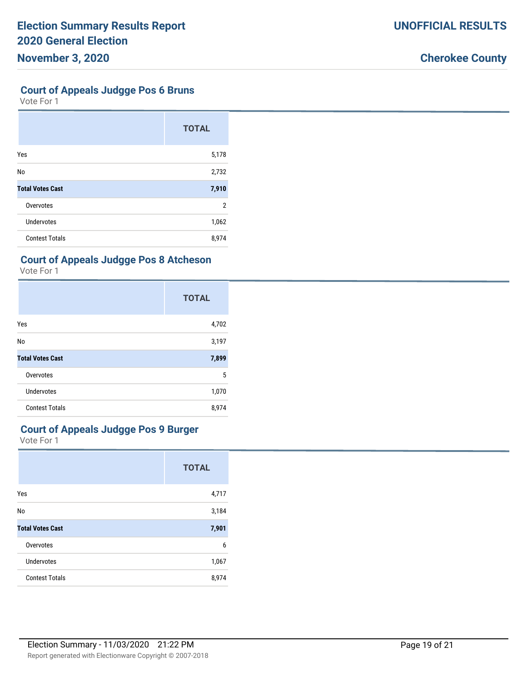#### **Court of Appeals Judgge Pos 6 Bruns**

Vote For 1

|                         | <b>TOTAL</b> |
|-------------------------|--------------|
| Yes                     | 5,178        |
| No                      | 2,732        |
| <b>Total Votes Cast</b> | 7,910        |
| Overvotes               | 2            |
| <b>Undervotes</b>       | 1,062        |
| <b>Contest Totals</b>   | 8,974        |

#### **Court of Appeals Judgge Pos 8 Atcheson**

Vote For 1

|                         | <b>TOTAL</b> |
|-------------------------|--------------|
| Yes                     | 4,702        |
| No                      | 3,197        |
| <b>Total Votes Cast</b> | 7,899        |
| Overvotes               | 5            |
| Undervotes              | 1,070        |
| <b>Contest Totals</b>   | 8,974        |

### **Court of Appeals Judgge Pos 9 Burger**

|                         | <b>TOTAL</b> |
|-------------------------|--------------|
| Yes                     | 4,717        |
| No                      | 3,184        |
| <b>Total Votes Cast</b> | 7,901        |
| Overvotes               | 6            |
| Undervotes              | 1,067        |
| <b>Contest Totals</b>   | 8,974        |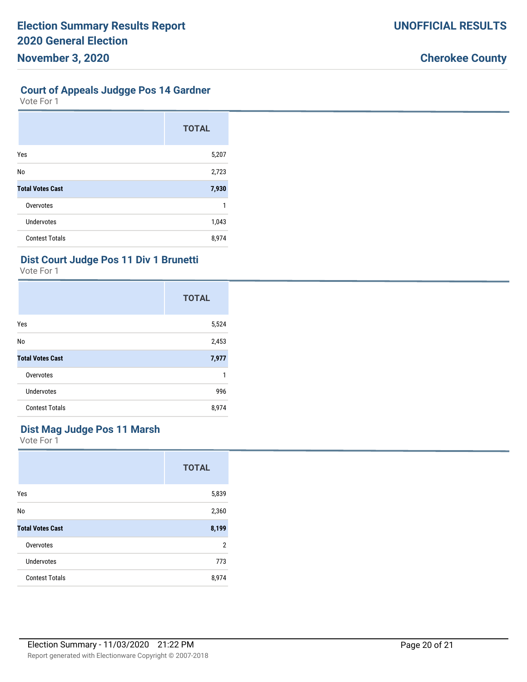Vote For 1

|                         | <b>TOTAL</b> |
|-------------------------|--------------|
| Yes                     | 5,207        |
| No                      | 2,723        |
| <b>Total Votes Cast</b> | 7,930        |
| Overvotes               |              |
| <b>Undervotes</b>       | 1,043        |
| <b>Contest Totals</b>   | 8,974        |

#### **Dist Court Judge Pos 11 Div 1 Brunetti**

Vote For 1

|                         | <b>TOTAL</b> |
|-------------------------|--------------|
| Yes                     | 5,524        |
| No                      | 2,453        |
| <b>Total Votes Cast</b> | 7,977        |
| Overvotes               | 1            |
| <b>Undervotes</b>       | 996          |
| <b>Contest Totals</b>   | 8,974        |

### **Dist Mag Judge Pos 11 Marsh**

|                         | <b>TOTAL</b>   |
|-------------------------|----------------|
| Yes                     | 5,839          |
| No                      | 2,360          |
| <b>Total Votes Cast</b> | 8,199          |
| Overvotes               | $\overline{2}$ |
| Undervotes              | 773            |
| <b>Contest Totals</b>   | 8,974          |